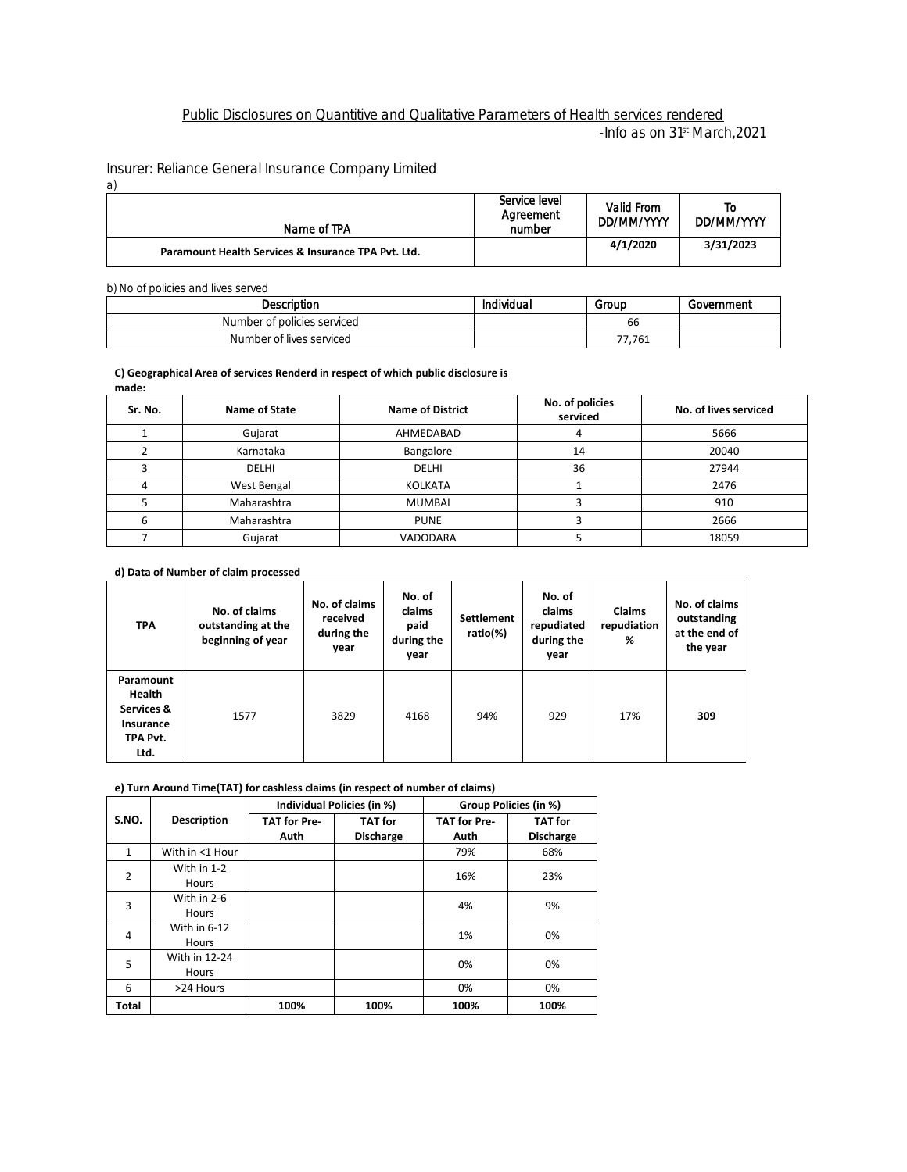## Public Disclosures on Quantitive and Qualitative Parameters of Health services rendered -Info as on 31st March,2021

Insurer: Reliance General Insurance Company Limited

| a)                                                  |                                      |                          |                  |
|-----------------------------------------------------|--------------------------------------|--------------------------|------------------|
| Name of TPA                                         | Service level<br>Agreement<br>number | Valid From<br>DD/MM/YYYY | T٥<br>DD/MM/YYYY |
| Paramount Health Services & Insurance TPA Pvt. Ltd. |                                      | 4/1/2020                 | 3/31/2023        |

#### b) No of policies and lives served

| Description                 | Individual | Group  | Government |
|-----------------------------|------------|--------|------------|
| Number of policies serviced |            | 66     |            |
| Number of lives serviced    |            | 77,761 |            |

#### **C) Geographical Area of services Renderd in respect of which public disclosure is made:**

| Sr. No. | Name of State | <b>Name of District</b> | No. of policies<br>serviced | No. of lives serviced |
|---------|---------------|-------------------------|-----------------------------|-----------------------|
|         | Gujarat       | AHMEDABAD               | 4                           | 5666                  |
|         | Karnataka     | Bangalore               | 14                          | 20040                 |
|         | <b>DELHI</b>  | <b>DELHI</b>            | 36                          | 27944                 |
|         | West Bengal   | <b>KOLKATA</b>          |                             | 2476                  |
|         | Maharashtra   | <b>MUMBAI</b>           |                             | 910                   |
|         | Maharashtra   | <b>PUNE</b>             |                             | 2666                  |
|         | Gujarat       | <b>VADODARA</b>         |                             | 18059                 |

### **d) Data of Number of claim processed**

| <b>TPA</b>                                                                | No. of claims<br>outstanding at the<br>beginning of year | No. of claims<br>received<br>during the<br>year | No. of<br>claims<br>paid<br>during the<br>year | <b>Settlement</b><br>ratio(%) | No. of<br>claims<br>repudiated<br>during the<br>year | <b>Claims</b><br>repudiation<br>% | No. of claims<br>outstanding<br>at the end of<br>the year |
|---------------------------------------------------------------------------|----------------------------------------------------------|-------------------------------------------------|------------------------------------------------|-------------------------------|------------------------------------------------------|-----------------------------------|-----------------------------------------------------------|
| Paramount<br><b>Health</b><br>Services &<br>Insurance<br>TPA Pvt.<br>Ltd. | 1577                                                     | 3829                                            | 4168                                           | 94%                           | 929                                                  | 17%                               | 309                                                       |

### **e) Turn Around Time(TAT) for cashless claims (in respect of number of claims)**

|                |                              | Individual Policies (in %)  |                                    |                             | Group Policies (in %)              |
|----------------|------------------------------|-----------------------------|------------------------------------|-----------------------------|------------------------------------|
| S.NO.          | <b>Description</b>           | <b>TAT for Pre-</b><br>Auth | <b>TAT</b> for<br><b>Discharge</b> | <b>TAT for Pre-</b><br>Auth | <b>TAT</b> for<br><b>Discharge</b> |
| $\mathbf{1}$   | With in <1 Hour              |                             |                                    | 79%                         | 68%                                |
| $\overline{2}$ | With in 1-2<br><b>Hours</b>  |                             |                                    | 16%                         | 23%                                |
| 3              | With in 2-6<br><b>Hours</b>  |                             |                                    | 4%                          | 9%                                 |
| 4              | With in 6-12<br><b>Hours</b> |                             |                                    | 1%                          | 0%                                 |
| 5              | With in 12-24<br>Hours       |                             |                                    | 0%                          | 0%                                 |
| 6              | >24 Hours                    |                             |                                    | 0%                          | 0%                                 |
| <b>Total</b>   |                              | 100%                        | 100%                               | 100%                        | 100%                               |